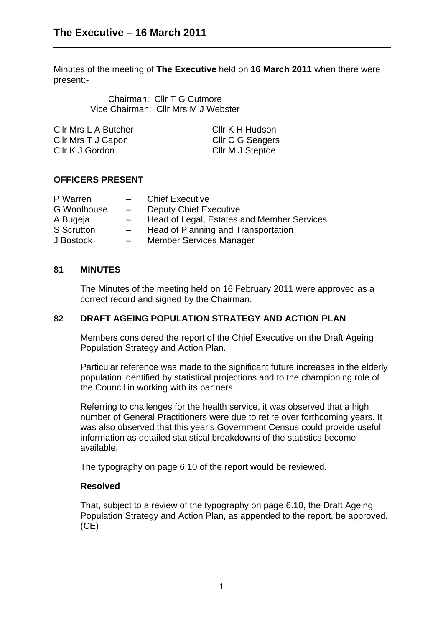Minutes of the meeting of **The Executive** held on **16 March 2011** when there were present:-

> Chairman: Cllr T G Cutmore Vice Chairman: Cllr Mrs M J Webster

| Cllr Mrs L A Butcher | Cllr K H Hudson  |
|----------------------|------------------|
| Cllr Mrs T J Capon   | Cllr C G Seagers |
| Cllr K J Gordon      | Cllr M J Steptoe |

# **OFFICERS PRESENT**

| P Warren          | $\overline{\phantom{0}}$ | <b>Chief Executive</b>                     |
|-------------------|--------------------------|--------------------------------------------|
| G Woolhouse       | $\overline{\phantom{0}}$ | <b>Deputy Chief Executive</b>              |
| A Bugeja          | $\overline{\phantom{0}}$ | Head of Legal, Estates and Member Services |
| <b>S</b> Scrutton | $\overline{\phantom{0}}$ | Head of Planning and Transportation        |
| J Bostock         | $\overline{\phantom{0}}$ | <b>Member Services Manager</b>             |

## **81 MINUTES**

The Minutes of the meeting held on 16 February 2011 were approved as a correct record and signed by the Chairman.

# **82 DRAFT AGEING POPULATION STRATEGY AND ACTION PLAN**

Members considered the report of the Chief Executive on the Draft Ageing Population Strategy and Action Plan.

Particular reference was made to the significant future increases in the elderly population identified by statistical projections and to the championing role of the Council in working with its partners.

Referring to challenges for the health service, it was observed that a high number of General Practitioners were due to retire over forthcoming years. It was also observed that this year's Government Census could provide useful information as detailed statistical breakdowns of the statistics become available.

The typography on page 6.10 of the report would be reviewed.

## **Resolved**

That, subject to a review of the typography on page 6.10, the Draft Ageing Population Strategy and Action Plan, as appended to the report, be approved. (CE)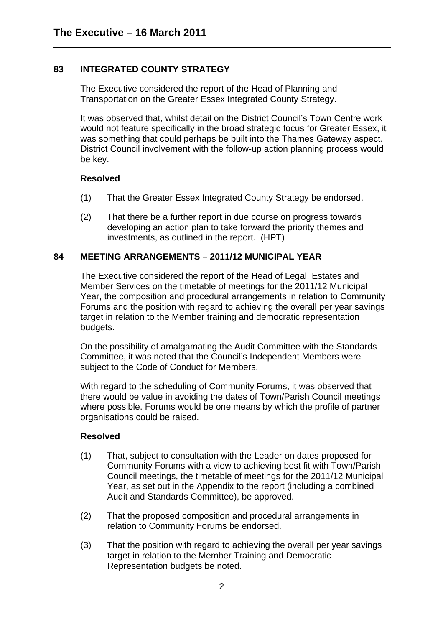# **83 INTEGRATED COUNTY STRATEGY**

The Executive considered the report of the Head of Planning and Transportation on the Greater Essex Integrated County Strategy.

It was observed that, whilst detail on the District Council's Town Centre work would not feature specifically in the broad strategic focus for Greater Essex, it was something that could perhaps be built into the Thames Gateway aspect. District Council involvement with the follow-up action planning process would be key.

#### **Resolved**

- (1) That the Greater Essex Integrated County Strategy be endorsed.
- (2) That there be a further report in due course on progress towards developing an action plan to take forward the priority themes and investments, as outlined in the report. (HPT)

## **84 MEETING ARRANGEMENTS – 2011/12 MUNICIPAL YEAR**

The Executive considered the report of the Head of Legal, Estates and Member Services on the timetable of meetings for the 2011/12 Municipal Year, the composition and procedural arrangements in relation to Community Forums and the position with regard to achieving the overall per year savings target in relation to the Member training and democratic representation budgets.

On the possibility of amalgamating the Audit Committee with the Standards Committee, it was noted that the Council's Independent Members were subject to the Code of Conduct for Members.

With regard to the scheduling of Community Forums, it was observed that there would be value in avoiding the dates of Town/Parish Council meetings where possible. Forums would be one means by which the profile of partner organisations could be raised.

#### **Resolved**

- (1) That, subject to consultation with the Leader on dates proposed for Community Forums with a view to achieving best fit with Town/Parish Council meetings, the timetable of meetings for the 2011/12 Municipal Year, as set out in the Appendix to the report (including a combined Audit and Standards Committee), be approved.
- (2) That the proposed composition and procedural arrangements in relation to Community Forums be endorsed.
- (3) That the position with regard to achieving the overall per year savings target in relation to the Member Training and Democratic Representation budgets be noted.